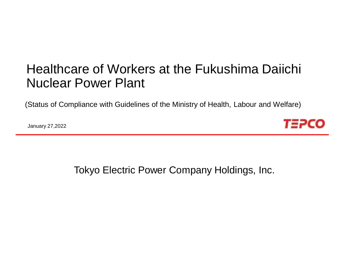# Healthcare of Workers at the Fukushima Daiichi Nuclear Power Plant

(Status of Compliance with Guidelines of the Ministry of Health, Labour and Welfare)

January 27,2022

*T∃PCO* 

Tokyo Electric Power Company Holdings, Inc.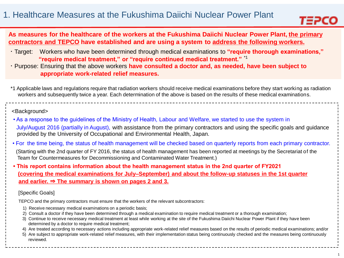

**As measures for the healthcare of the workers at the Fukushima Daiichi Nuclear Power Plant, the primary contractors and TEPCO have established and are using a system to address the following workers.**

- ・Target: Workers who have been determined through medical examinations to **"require thorough examinations," "require medical treatment," or "require continued medical treatment."** \*1
- ・Purpose: Ensuring that the above workers **have consulted a doctor and, as needed, have been subject to appropriate work-related relief measures.**

\*1 Applicable laws and regulations require that radiation workers should receive medical examinations before they start working as radiation workers and subsequently twice a year. Each determination of the above is based on the results of these medical examinations.

#### <Background>

- As a response to the guidelines of the Ministry of Health, Labour and Welfare, we started to use the system in July/August 2016 (partially in August), with assistance from the primary contractors and using the specific goals and guidance provided by the University of Occupational and Environmental Health, Japan.
- For the time being, the status of health management will be checked based on quarterly reports from each primary contractor.
- (Starting with the 2nd quarter of FY 2016, the status of health management has been reported at meetings by the Secretariat of the Team for Countermeasures for Decommissioning and Contaminated Water Treatment.)
- **This report contains information about the health management status in the 2nd quarter of FY2021 (covering the medical examinations for July–September) and about the follow-up statuses in the 1st quarter and earlier.** ⇒ **The summary is shown on pages 2 and 3.**

#### [Specific Goals]

TEPCO and the primary contractors must ensure that the workers of the relevant subcontractors:

- 1) Receive necessary medical examinations on a periodic basis;
- 2) Consult a doctor if they have been determined through a medical examination to require medical treatment or a thorough examination;
- 3) Continue to receive necessary medical treatment at least while working at the site of the Fukushima Daiichi Nuclear Power Plant if they have been determined by a doctor to require medical treatment;
- 4) Are treated according to necessary actions including appropriate work-related relief measures based on the results of periodic medical examinations; and/or
- 5) Are subject to appropriate work-related relief measures, with their implementation status being continuously checked and the measures being continuously reviewed.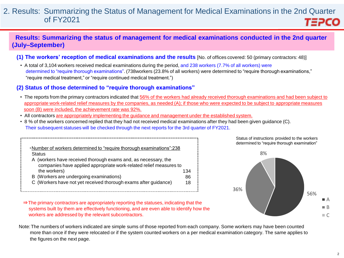#### 2. Results: Summarizing the Status of Management for Medical Examinations in the 2nd Quarter of FY2021 **TEPCO**

### **Results: Summarizing the status of management for medical examinations conducted in the 2nd quarter (July–September)**

- **(1) The workers' reception of medical examinations and the results** [No. of offices covered: 50 (primary contractors: 48)]
	- A total of 3,104 workers received medical examinations during the period, and 238 workers (7.7% of all workers) were determined to "require thorough examinations". (738workers (23.8% of all workers) were determined to "require thorough examinations," "require medical treatment," or "require continued medical treatment.")

#### **(2) Status of those determined to "require thorough examinations"**

- The reports from the primary contractors indicated that 56% of the workers had already received thorough examinations and had been subject to appropriate work-related relief measures by the companies, as needed (A); if those who were expected to be subject to appropriate measures soon (B) were included, the achievement rate was 92%.
- All contractors are appropriately implementing the guidance and management under the established system.
- 8 % of the workers concerned replied that they had not received medical examinations after they had been given guidance (C). Their subsequent statuses will be checked through the next reports for the 3rd quarter of FY2021.

| •Number of workers determined to "require thorough examinations":238 |     |
|----------------------------------------------------------------------|-----|
| <b>Status</b>                                                        |     |
| A (workers have received thorough exams and, as necessary, the       |     |
| companies have applied appropriate work-related relief measures to   |     |
| the workers)                                                         | 134 |
| B (Workers are undergoing examinations)                              | 86  |
| C (Workers have not yet received thorough exams after guidance)      | 18  |

⇒The primary contractors are appropriately reporting the statuses, indicating that the

workers are addressed by the relevant subcontractors.

systems built by them are effectively functioning, and are even able to identify how the 56% 36% 8%

Status of instructions provided to the workers determined to "require thorough examination"

Note:The numbers of workers indicated are simple sums of those reported from each company. Some workers may have been counted more than once if they were relocated or if the system counted workers on a per medical examination category. The same applies to the figures on the next page.



 $\blacksquare$   $\Delta$  $\blacksquare$  B  $\overline{\phantom{a}}$